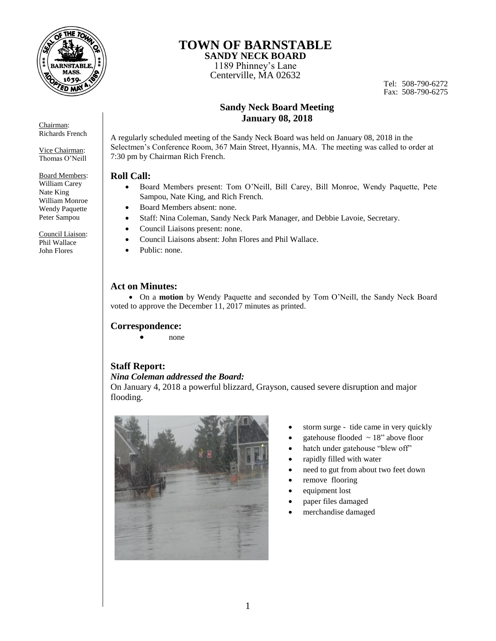

**TOWN OF BARNSTABLE**

**SANDY NECK BOARD**  1189 Phinney's Lane Centerville, MA 02632

Tel: 508-790-6272 Fax: 508-790-6275

## **Sandy Neck Board Meeting January 08, 2018**

A regularly scheduled meeting of the Sandy Neck Board was held on January 08, 2018 in the Selectmen's Conference Room, 367 Main Street, Hyannis, MA. The meeting was called to order at 7:30 pm by Chairman Rich French.

### **Roll Call:**

- Board Members present: Tom O'Neill, Bill Carey, Bill Monroe, Wendy Paquette, Pete Sampou, Nate King, and Rich French.
- Board Members absent: none.
- Staff: Nina Coleman, Sandy Neck Park Manager, and Debbie Lavoie, Secretary.
- Council Liaisons present: none.
- Council Liaisons absent: John Flores and Phil Wallace.
- Public: none.

## **Act on Minutes:**

 On a **motion** by Wendy Paquette and seconded by Tom O'Neill, the Sandy Neck Board voted to approve the December 11, 2017 minutes as printed.

### **Correspondence:**

none

### **Staff Report:**

## *Nina Coleman addressed the Board:*

On January 4, 2018 a powerful blizzard, Grayson, caused severe disruption and major flooding.



- storm surge tide came in very quickly
- gatehouse flooded  $\sim$  18" above floor
- hatch under gatehouse "blew off"
- rapidly filled with water
- need to gut from about two feet down
- remove flooring
- equipment lost
- paper files damaged
- merchandise damaged

Vice Chairman: Thomas O'Neill

Chairman: Richards French

Board Members: William Carey Nate King William Monroe Wendy Paquette Peter Sampou

Council Liaison: Phil Wallace John Flores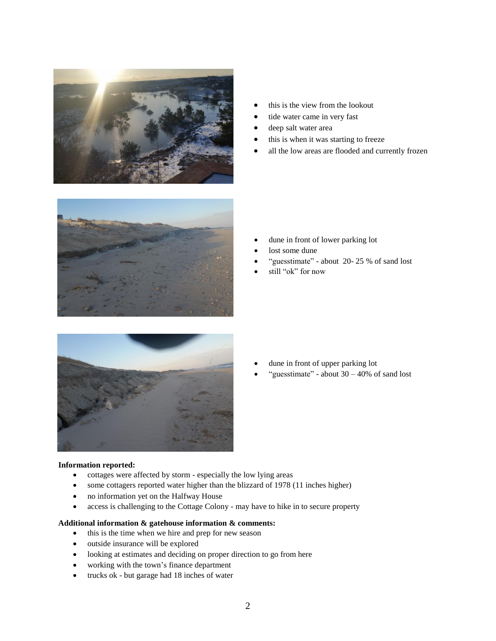

- this is the view from the lookout
- tide water came in very fast
- deep salt water area
- this is when it was starting to freeze
- all the low areas are flooded and currently frozen



- dune in front of lower parking lot
- lost some dune
- "guesstimate" about 20- 25 % of sand lost
- still "ok" for now



### dune in front of upper parking lot

"guesstimate" - about  $30 - 40\%$  of sand lost

#### **Information reported:**

- cottages were affected by storm especially the low lying areas
- some cottagers reported water higher than the blizzard of 1978 (11 inches higher)
- no information yet on the Halfway House
- access is challenging to the Cottage Colony may have to hike in to secure property

#### **Additional information & gatehouse information & comments:**

- this is the time when we hire and prep for new season
- outside insurance will be explored
- looking at estimates and deciding on proper direction to go from here
- working with the town's finance department
- trucks ok but garage had 18 inches of water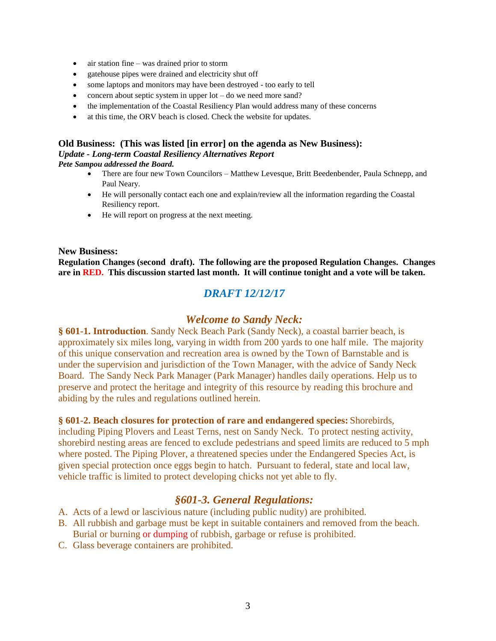- air station fine was drained prior to storm
- gatehouse pipes were drained and electricity shut off
- some laptops and monitors may have been destroyed too early to tell
- concern about septic system in upper  $\text{lot} \text{do}$  we need more sand?
- the implementation of the Coastal Resiliency Plan would address many of these concerns
- at this time, the ORV beach is closed. Check the website for updates.

#### **Old Business: (This was listed [in error] on the agenda as New Business):** *Update - Long-term Coastal Resiliency Alternatives Report Pete Sampou addressed the Board.*

- There are four new Town Councilors Matthew Levesque, Britt Beedenbender, Paula Schnepp, and Paul Neary.
- He will personally contact each one and explain/review all the information regarding the Coastal Resiliency report.
- He will report on progress at the next meeting.

### **New Business:**

**Regulation Changes (second draft). The following are the proposed Regulation Changes. Changes are in RED. This discussion started last month. It will continue tonight and a vote will be taken.** 

# *DRAFT 12/12/17*

## *Welcome to Sandy Neck:*

**§ 601-1. Introduction**. Sandy Neck Beach Park (Sandy Neck), a coastal barrier beach, is approximately six miles long, varying in width from 200 yards to one half mile. The majority of this unique conservation and recreation area is owned by the Town of Barnstable and is under the supervision and jurisdiction of the Town Manager, with the advice of Sandy Neck Board. The Sandy Neck Park Manager (Park Manager) handles daily operations. Help us to preserve and protect the heritage and integrity of this resource by reading this brochure and abiding by the rules and regulations outlined herein.

### **§ 601-2. Beach closures for protection of rare and endangered species:** Shorebirds,

including Piping Plovers and Least Terns, nest on Sandy Neck. To protect nesting activity, shorebird nesting areas are fenced to exclude pedestrians and speed limits are reduced to 5 mph where posted. The Piping Plover, a threatened species under the Endangered Species Act, is given special protection once eggs begin to hatch. Pursuant to federal, state and local law, vehicle traffic is limited to protect developing chicks not yet able to fly.

## *§601-3. General Regulations:*

- A. Acts of a lewd or lascivious nature (including public nudity) are prohibited.
- B. All rubbish and garbage must be kept in suitable containers and removed from the beach. Burial or burning or dumping of rubbish, garbage or refuse is prohibited.
- C. Glass beverage containers are prohibited.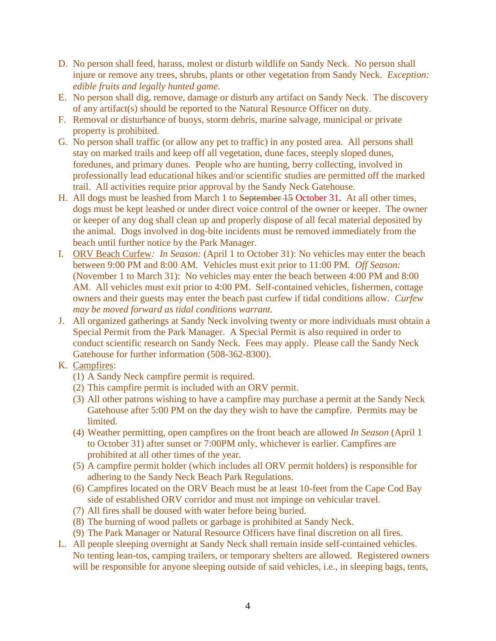- D. No person shall feed, harass, molest or disturb wildlife on Sandy Neck. No person shall injure or remove any trees, shrubs, plants or other vegetation from Sandy Neck. *Exception: edible fruits and legally hunted game*.
- E. No person shall dig, remove, damage or disturb any artifact on Sandy Neck. The discovery of any artifact(s) should be reported to the Natural Resource Officer on duty.
- F. Removal or disturbance of buoys, storm debris, marine salvage, municipal or private property is prohibited.
- G. No person shall traffic (or allow any pet to traffic) in any posted area. All persons shall stay on marked trails and keep off all vegetation, dune faces, steeply sloped dunes, foredunes, and primary dunes. People who are hunting, berry collecting, involved in professionally lead educational hikes and/or scientific studies are permitted off the marked trail. All activities require prior approval by the Sandy Neck Gatehouse.
- H. All dogs must be leashed from March 1 to September 15 October 31. At all other times, dogs must be kept leashed or under direct voice control of the owner or keeper. The owner or keeper of any dog shall clean up and properly dispose of all fecal material deposited by the animal. Dogs involved in dog-bite incidents must be removed immediately from the beach until further notice by the Park Manager.
- I. ORV Beach Curfew*: In Season:* (April 1 to October 31): No vehicles may enter the beach between 9:00 PM and 8:00 AM. Vehicles must exit prior to 11:00 PM. *Off Season:*  (November 1 to March 31): No vehicles may enter the beach between 4:00 PM and 8:00 AM. All vehicles must exit prior to 4:00 PM. Self-contained vehicles, fishermen, cottage owners and their guests may enter the beach past curfew if tidal conditions allow*. Curfew may be moved forward as tidal conditions warrant.*
- J. All organized gatherings at Sandy Neck involving twenty or more individuals must obtain a Special Permit from the Park Manager. A Special Permit is also required in order to conduct scientific research on Sandy Neck. Fees may apply. Please call the Sandy Neck Gatehouse for further information (508-362-8300).
- K. Campfires:
	- (1) A Sandy Neck campfire permit is required.
	- (2) This campfire permit is included with an ORV permit.
	- (3) All other patrons wishing to have a campfire may purchase a permit at the Sandy Neck Gatehouse after 5:00 PM on the day they wish to have the campfire. Permits may be limited.
	- (4) Weather permitting, open campfires on the front beach are allowed *In Season* (April 1 to October 31) after sunset or 7:00PM only, whichever is earlier. Campfires are prohibited at all other times of the year.
	- (5) A campfire permit holder (which includes all ORV permit holders) is responsible for adhering to the Sandy Neck Beach Park Regulations.
	- (6) Campfires located on the ORV Beach must be at least 10-feet from the Cape Cod Bay side of established ORV corridor and must not impinge on vehicular travel.
	- (7) All fires shall be doused with water before being buried.
	- (8) The burning of wood pallets or garbage is prohibited at Sandy Neck.
	- (9) The Park Manager or Natural Resource Officers have final discretion on all fires.
- L. All people sleeping overnight at Sandy Neck shall remain inside self-contained vehicles. No tenting lean-tos, camping trailers, or temporary shelters are allowed. Registered owners will be responsible for anyone sleeping outside of said vehicles, *i.e.*, in sleeping bags, tents,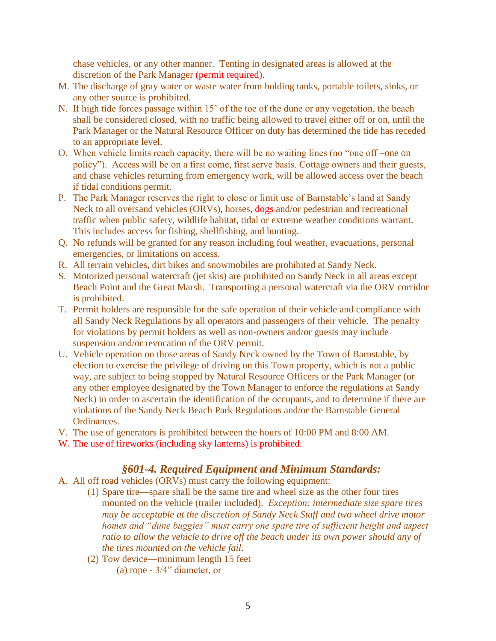chase vehicles, or any other manner. Tenting in designated areas is allowed at the discretion of the Park Manager (permit required).

- M. The discharge of gray water or waste water from holding tanks, portable toilets, sinks, or any other source is prohibited.
- N. If high tide forces passage within 15' of the toe of the dune or any vegetation, the beach shall be considered closed, with no traffic being allowed to travel either off or on, until the Park Manager or the Natural Resource Officer on duty has determined the tide has receded to an appropriate level.
- O. When vehicle limits reach capacity, there will be no waiting lines (no "one off –one on policy"). Access will be on a first come, first serve basis. Cottage owners and their guests, and chase vehicles returning from emergency work, will be allowed access over the beach if tidal conditions permit.
- P. The Park Manager reserves the right to close or limit use of Barnstable's land at Sandy Neck to all oversand vehicles (ORVs), horses, dogs and/or pedestrian and recreational traffic when public safety, wildlife habitat, tidal or extreme weather conditions warrant. This includes access for fishing, shellfishing, and hunting.
- Q. No refunds will be granted for any reason including foul weather, evacuations, personal emergencies, or limitations on access.
- R. All terrain vehicles, dirt bikes and snowmobiles are prohibited at Sandy Neck.
- S. Motorized personal watercraft (jet skis) are prohibited on Sandy Neck in all areas except Beach Point and the Great Marsh. Transporting a personal watercraft via the ORV corridor is prohibited.
- T. Permit holders are responsible for the safe operation of their vehicle and compliance with all Sandy Neck Regulations by all operators and passengers of their vehicle. The penalty for violations by permit holders as well as non-owners and/or guests may include suspension and/or revocation of the ORV permit.
- U. Vehicle operation on those areas of Sandy Neck owned by the Town of Barnstable, by election to exercise the privilege of driving on this Town property, which is not a public way, are subject to being stopped by Natural Resource Officers or the Park Manager (or any other employee designated by the Town Manager to enforce the regulations at Sandy Neck) in order to ascertain the identification of the occupants, and to determine if there are violations of the Sandy Neck Beach Park Regulations and/or the Barnstable General Ordinances.
- V. The use of generators is prohibited between the hours of 10:00 PM and 8:00 AM.
- W. The use of fireworks (including sky lanterns) is prohibited.

## *§601-4. Required Equipment and Minimum Standards:*

- A. All off road vehicles (ORVs) must carry the following equipment:
	- (1) Spare tire—spare shall be the same tire and wheel size as the other four tires mounted on the vehicle (trailer included). *Exception: intermediate size spare tires may be acceptable at the discretion of Sandy Neck Staff and two wheel drive motor homes and "dune buggies" must carry one spare tire of sufficient height and aspect ratio to allow the vehicle to drive off the beach under its own power should any of the tires mounted on the vehicle fail*.
	- (2) Tow device—minimum length 15 feet (a) rope - 3/4" diameter, or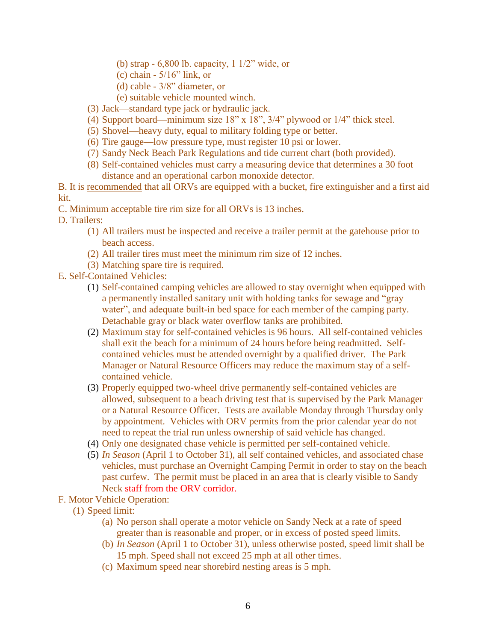- (b) strap 6,800 lb. capacity, 1 1/2" wide, or
- (c) chain  $-5/16$ " link, or
- (d) cable 3/8" diameter, or
- (e) suitable vehicle mounted winch.
- (3) Jack—standard type jack or hydraulic jack.
- (4) Support board—minimum size  $18"$  x  $18"$ ,  $3/4"$  plywood or  $1/4"$  thick steel.
- (5) Shovel—heavy duty, equal to military folding type or better.
- (6) Tire gauge—low pressure type, must register 10 psi or lower.
- (7) Sandy Neck Beach Park Regulations and tide current chart (both provided).
- (8) Self-contained vehicles must carry a measuring device that determines a 30 foot distance and an operational carbon monoxide detector.
- B. It is recommended that all ORVs are equipped with a bucket, fire extinguisher and a first aid kit.
- C. Minimum acceptable tire rim size for all ORVs is 13 inches.
- D. Trailers:
	- (1) All trailers must be inspected and receive a trailer permit at the gatehouse prior to beach access.
	- (2) All trailer tires must meet the minimum rim size of 12 inches.
	- (3) Matching spare tire is required.
- E. Self-Contained Vehicles:
	- (1) Self-contained camping vehicles are allowed to stay overnight when equipped with a permanently installed sanitary unit with holding tanks for sewage and "gray water", and adequate built-in bed space for each member of the camping party. Detachable gray or black water overflow tanks are prohibited.
	- (2) Maximum stay for self-contained vehicles is 96 hours. All self-contained vehicles shall exit the beach for a minimum of 24 hours before being readmitted. Selfcontained vehicles must be attended overnight by a qualified driver. The Park Manager or Natural Resource Officers may reduce the maximum stay of a selfcontained vehicle.
	- (3) Properly equipped two-wheel drive permanently self-contained vehicles are allowed, subsequent to a beach driving test that is supervised by the Park Manager or a Natural Resource Officer. Tests are available Monday through Thursday only by appointment. Vehicles with ORV permits from the prior calendar year do not need to repeat the trial run unless ownership of said vehicle has changed.
	- (4) Only one designated chase vehicle is permitted per self-contained vehicle.
	- (5) *In Season* (April 1 to October 31), all self contained vehicles, and associated chase vehicles, must purchase an Overnight Camping Permit in order to stay on the beach past curfew. The permit must be placed in an area that is clearly visible to Sandy Neck staff from the ORV corridor.
- F. Motor Vehicle Operation:
	- (1) Speed limit:
		- (a) No person shall operate a motor vehicle on Sandy Neck at a rate of speed greater than is reasonable and proper, or in excess of posted speed limits.
		- (b) *In Season* (April 1 to October 31), unless otherwise posted, speed limit shall be 15 mph. Speed shall not exceed 25 mph at all other times.
		- (c) Maximum speed near shorebird nesting areas is 5 mph.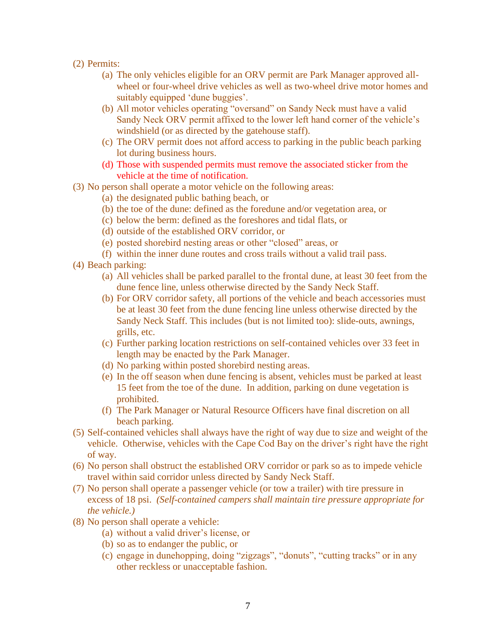- (2) Permits:
	- (a) The only vehicles eligible for an ORV permit are Park Manager approved allwheel or four-wheel drive vehicles as well as two-wheel drive motor homes and suitably equipped 'dune buggies'.
	- (b) All motor vehicles operating "oversand" on Sandy Neck must have a valid Sandy Neck ORV permit affixed to the lower left hand corner of the vehicle's windshield (or as directed by the gatehouse staff).
	- (c) The ORV permit does not afford access to parking in the public beach parking lot during business hours.
	- (d) Those with suspended permits must remove the associated sticker from the vehicle at the time of notification.
- (3) No person shall operate a motor vehicle on the following areas:
	- (a) the designated public bathing beach, or
	- (b) the toe of the dune: defined as the foredune and/or vegetation area, or
	- (c) below the berm: defined as the foreshores and tidal flats, or
	- (d) outside of the established ORV corridor, or
	- (e) posted shorebird nesting areas or other "closed" areas, or
	- (f) within the inner dune routes and cross trails without a valid trail pass.
- (4) Beach parking:
	- (a) All vehicles shall be parked parallel to the frontal dune, at least 30 feet from the dune fence line, unless otherwise directed by the Sandy Neck Staff.
	- (b) For ORV corridor safety, all portions of the vehicle and beach accessories must be at least 30 feet from the dune fencing line unless otherwise directed by the Sandy Neck Staff. This includes (but is not limited too): slide-outs, awnings, grills, etc.
	- (c) Further parking location restrictions on self-contained vehicles over 33 feet in length may be enacted by the Park Manager.
	- (d) No parking within posted shorebird nesting areas.
	- (e) In the off season when dune fencing is absent, vehicles must be parked at least 15 feet from the toe of the dune. In addition, parking on dune vegetation is prohibited.
	- (f) The Park Manager or Natural Resource Officers have final discretion on all beach parking.
- (5) Self-contained vehicles shall always have the right of way due to size and weight of the vehicle. Otherwise, vehicles with the Cape Cod Bay on the driver's right have the right of way.
- (6) No person shall obstruct the established ORV corridor or park so as to impede vehicle travel within said corridor unless directed by Sandy Neck Staff.
- (7) No person shall operate a passenger vehicle (or tow a trailer) with tire pressure in excess of 18 psi. *(Self-contained campers shall maintain tire pressure appropriate for the vehicle.)*
- (8) No person shall operate a vehicle:
	- (a) without a valid driver's license, or
	- (b) so as to endanger the public, or
	- (c) engage in dunehopping, doing "zigzags", "donuts", "cutting tracks" or in any other reckless or unacceptable fashion.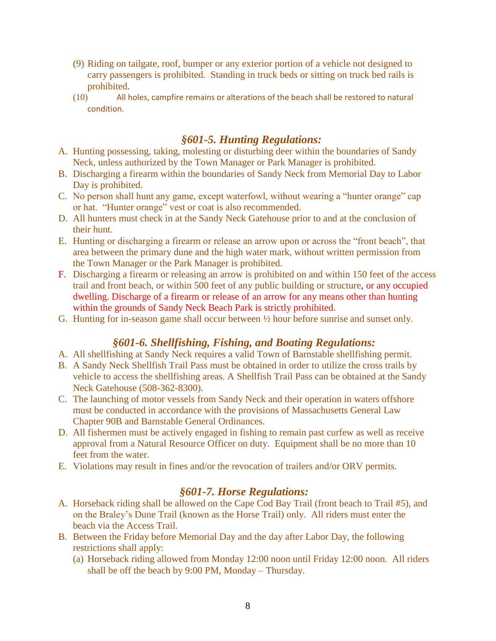- (9) Riding on tailgate, roof, bumper or any exterior portion of a vehicle not designed to carry passengers is prohibited. Standing in truck beds or sitting on truck bed rails is prohibited.
- (10) All holes, campfire remains or alterations of the beach shall be restored to natural condition.

# *§601-5. Hunting Regulations:*

- A. Hunting possessing, taking, molesting or disturbing deer within the boundaries of Sandy Neck, unless authorized by the Town Manager or Park Manager is prohibited.
- B. Discharging a firearm within the boundaries of Sandy Neck from Memorial Day to Labor Day is prohibited.
- C. No person shall hunt any game, except waterfowl, without wearing a "hunter orange" cap or hat. "Hunter orange" vest or coat is also recommended.
- D. All hunters must check in at the Sandy Neck Gatehouse prior to and at the conclusion of their hunt.
- E. Hunting or discharging a firearm or release an arrow upon or across the "front beach", that area between the primary dune and the high water mark, without written permission from the Town Manager or the Park Manager is prohibited.
- F. Discharging a firearm or releasing an arrow is prohibited on and within 150 feet of the access trail and front beach, or within 500 feet of any public building or structure, or any occupied dwelling. Discharge of a firearm or release of an arrow for any means other than hunting within the grounds of Sandy Neck Beach Park is strictly prohibited.
- G. Hunting for in-season game shall occur between ½ hour before sunrise and sunset only.

## *§601-6. Shellfishing, Fishing, and Boating Regulations:*

- A. All shellfishing at Sandy Neck requires a valid Town of Barnstable shellfishing permit.
- B. A Sandy Neck Shellfish Trail Pass must be obtained in order to utilize the cross trails by vehicle to access the shellfishing areas. A Shellfish Trail Pass can be obtained at the Sandy Neck Gatehouse (508-362-8300).
- C. The launching of motor vessels from Sandy Neck and their operation in waters offshore must be conducted in accordance with the provisions of Massachusetts General Law Chapter 90B and Barnstable General Ordinances.
- D. All fishermen must be actively engaged in fishing to remain past curfew as well as receive approval from a Natural Resource Officer on duty. Equipment shall be no more than 10 feet from the water.
- E. Violations may result in fines and/or the revocation of trailers and/or ORV permits.

## *§601-7. Horse Regulations:*

- A. Horseback riding shall be allowed on the Cape Cod Bay Trail (front beach to Trail #5), and on the Braley's Dune Trail (known as the Horse Trail) only. All riders must enter the beach via the Access Trail.
- B. Between the Friday before Memorial Day and the day after Labor Day, the following restrictions shall apply:
	- (a) Horseback riding allowed from Monday 12:00 noon until Friday 12:00 noon. All riders shall be off the beach by 9:00 PM, Monday – Thursday.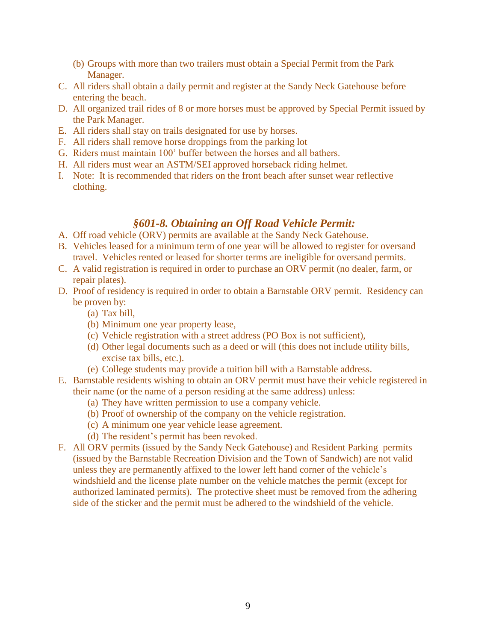- (b) Groups with more than two trailers must obtain a Special Permit from the Park Manager.
- C. All riders shall obtain a daily permit and register at the Sandy Neck Gatehouse before entering the beach.
- D. All organized trail rides of 8 or more horses must be approved by Special Permit issued by the Park Manager.
- E. All riders shall stay on trails designated for use by horses.
- F. All riders shall remove horse droppings from the parking lot
- G. Riders must maintain 100' buffer between the horses and all bathers.
- H. All riders must wear an ASTM/SEI approved horseback riding helmet.
- I. Note: It is recommended that riders on the front beach after sunset wear reflective clothing.

# *§601-8. Obtaining an Off Road Vehicle Permit:*

- A. Off road vehicle (ORV) permits are available at the Sandy Neck Gatehouse.
- B. Vehicles leased for a minimum term of one year will be allowed to register for oversand travel. Vehicles rented or leased for shorter terms are ineligible for oversand permits.
- C. A valid registration is required in order to purchase an ORV permit (no dealer, farm, or repair plates).
- D. Proof of residency is required in order to obtain a Barnstable ORV permit. Residency can be proven by:
	- (a) Tax bill,
	- (b) Minimum one year property lease,
	- (c) Vehicle registration with a street address (PO Box is not sufficient),
	- (d) Other legal documents such as a deed or will (this does not include utility bills, excise tax bills, etc.).
	- (e) College students may provide a tuition bill with a Barnstable address.
- E. Barnstable residents wishing to obtain an ORV permit must have their vehicle registered in their name (or the name of a person residing at the same address) unless:
	- (a) They have written permission to use a company vehicle.
	- (b) Proof of ownership of the company on the vehicle registration.
	- (c) A minimum one year vehicle lease agreement.
	- (d) The resident's permit has been revoked.
- F. All ORV permits (issued by the Sandy Neck Gatehouse) and Resident Parking permits (issued by the Barnstable Recreation Division and the Town of Sandwich) are not valid unless they are permanently affixed to the lower left hand corner of the vehicle's windshield and the license plate number on the vehicle matches the permit (except for authorized laminated permits). The protective sheet must be removed from the adhering side of the sticker and the permit must be adhered to the windshield of the vehicle.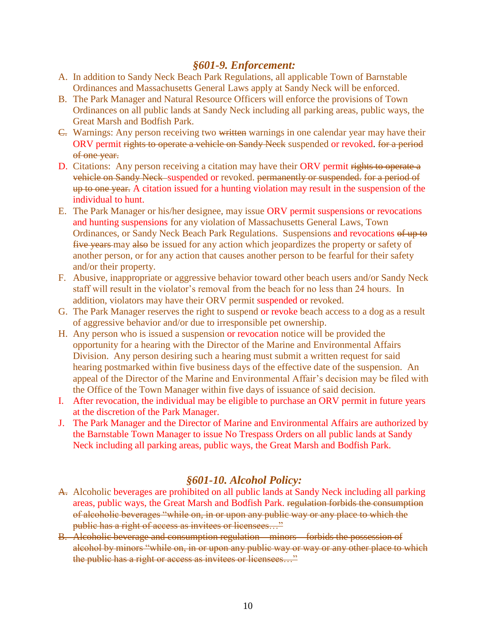## *§601-9. Enforcement:*

- A. In addition to Sandy Neck Beach Park Regulations, all applicable Town of Barnstable Ordinances and Massachusetts General Laws apply at Sandy Neck will be enforced.
- B. The Park Manager and Natural Resource Officers will enforce the provisions of Town Ordinances on all public lands at Sandy Neck including all parking areas, public ways, the Great Marsh and Bodfish Park.
- C. Warnings: Any person receiving two written warnings in one calendar year may have their ORV permit rights to operate a vehicle on Sandy Neck suspended or revoked. for a period of one year.
- D. Citations: Any person receiving a citation may have their ORV permit rights to operate a vehicle on Sandy Neck-suspended or revoked. permanently or suspended. for a period of up to one year. A citation issued for a hunting violation may result in the suspension of the individual to hunt.
- E. The Park Manager or his/her designee, may issue ORV permit suspensions or revocations and hunting suspensions for any violation of Massachusetts General Laws, Town Ordinances, or Sandy Neck Beach Park Regulations. Suspensions and revocations of up to five years-may also be issued for any action which jeopardizes the property or safety of another person, or for any action that causes another person to be fearful for their safety and/or their property.
- F. Abusive, inappropriate or aggressive behavior toward other beach users and/or Sandy Neck staff will result in the violator's removal from the beach for no less than 24 hours. In addition, violators may have their ORV permit suspended or revoked.
- G. The Park Manager reserves the right to suspend or revoke beach access to a dog as a result of aggressive behavior and/or due to irresponsible pet ownership.
- H. Any person who is issued a suspension or revocation notice will be provided the opportunity for a hearing with the Director of the Marine and Environmental Affairs Division. Any person desiring such a hearing must submit a written request for said hearing postmarked within five business days of the effective date of the suspension. An appeal of the Director of the Marine and Environmental Affair's decision may be filed with the Office of the Town Manager within five days of issuance of said decision.
- I. After revocation, the individual may be eligible to purchase an ORV permit in future years at the discretion of the Park Manager.
- J. The Park Manager and the Director of Marine and Environmental Affairs are authorized by the Barnstable Town Manager to issue No Trespass Orders on all public lands at Sandy Neck including all parking areas, public ways, the Great Marsh and Bodfish Park.

# *§601-10. Alcohol Policy:*

- A. Alcoholic beverages are prohibited on all public lands at Sandy Neck including all parking areas, public ways, the Great Marsh and Bodfish Park. regulation forbids the consumption of alcoholic beverages "while on, in or upon any public way or any place to which the public has a right of access as invitees or licensees…"
- B. Alcoholic beverage and consumption regulation minors forbids the possession of alcohol by minors "while on, in or upon any public way or way or any other place to which the public has a right or access as invitees or licensees…"